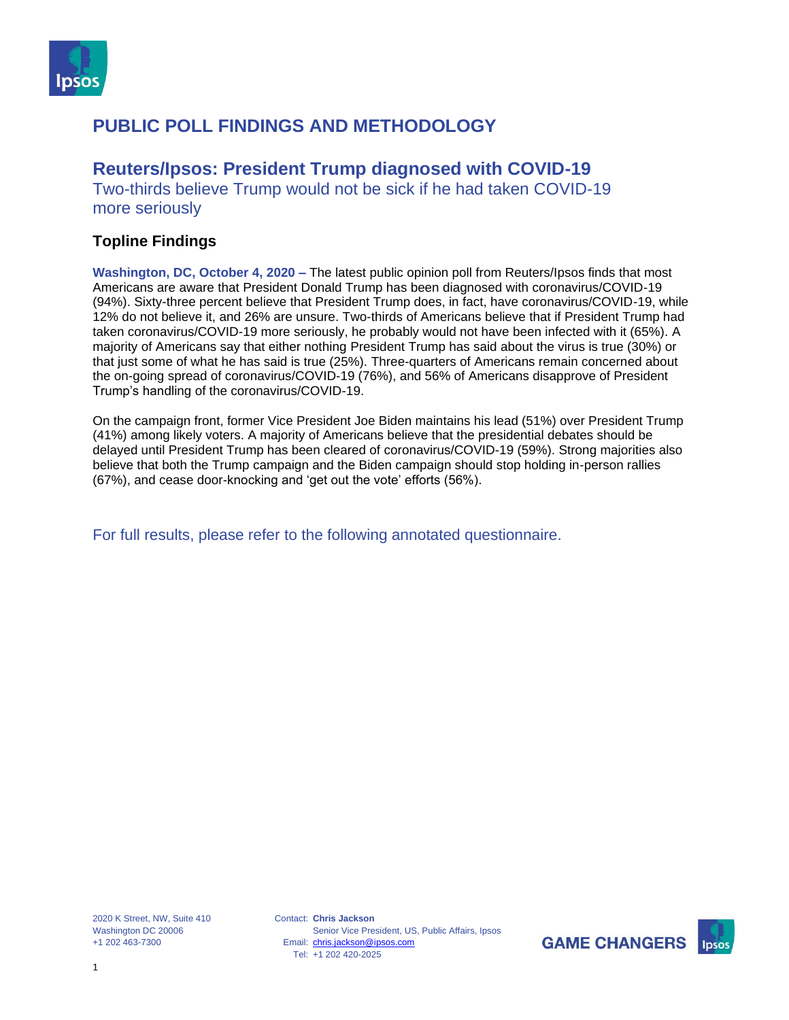

## **Reuters/Ipsos: President Trump diagnosed with COVID-19**

Two-thirds believe Trump would not be sick if he had taken COVID-19 more seriously

### **Topline Findings**

**Washington, DC, October 4, 2020 –** The latest public opinion poll from Reuters/Ipsos finds that most Americans are aware that President Donald Trump has been diagnosed with coronavirus/COVID-19 (94%). Sixty-three percent believe that President Trump does, in fact, have coronavirus/COVID-19, while 12% do not believe it, and 26% are unsure. Two-thirds of Americans believe that if President Trump had taken coronavirus/COVID-19 more seriously, he probably would not have been infected with it (65%). A majority of Americans say that either nothing President Trump has said about the virus is true (30%) or that just some of what he has said is true (25%). Three-quarters of Americans remain concerned about the on-going spread of coronavirus/COVID-19 (76%), and 56% of Americans disapprove of President Trump's handling of the coronavirus/COVID-19.

On the campaign front, former Vice President Joe Biden maintains his lead (51%) over President Trump (41%) among likely voters. A majority of Americans believe that the presidential debates should be delayed until President Trump has been cleared of coronavirus/COVID-19 (59%). Strong majorities also believe that both the Trump campaign and the Biden campaign should stop holding in-person rallies (67%), and cease door-knocking and 'get out the vote' efforts (56%).

For full results, please refer to the following annotated questionnaire.

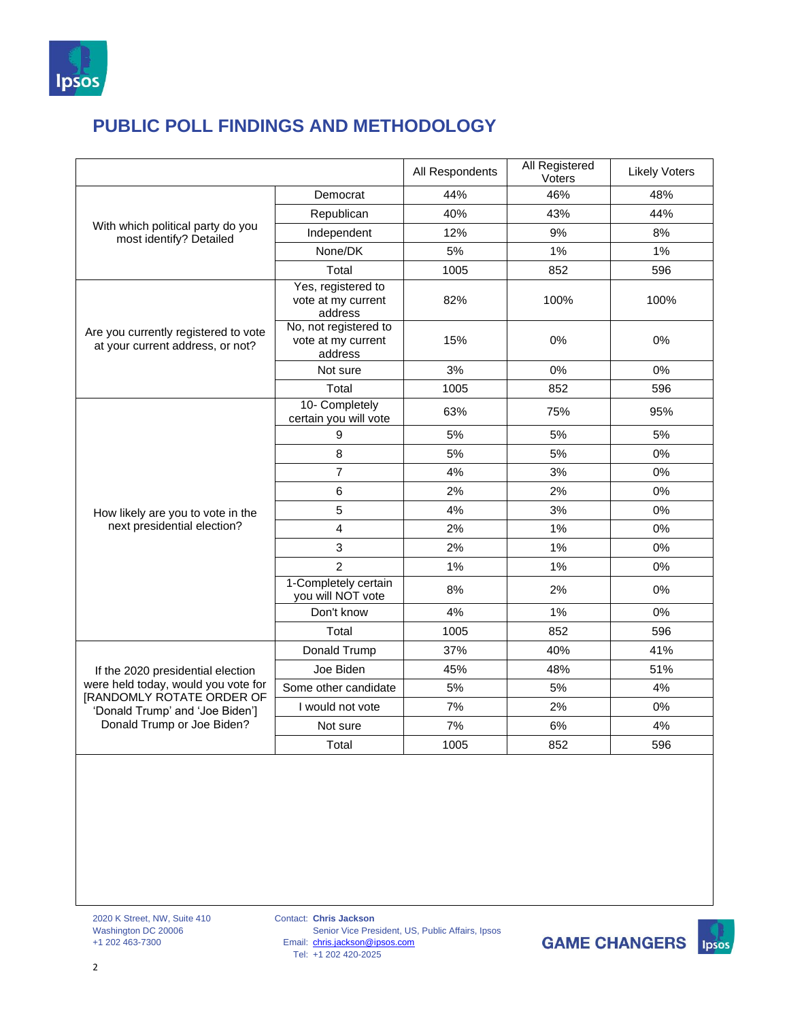

|                                                                                                                                                                               |                                                        | All Respondents | All Registered<br>Voters | <b>Likely Voters</b> |
|-------------------------------------------------------------------------------------------------------------------------------------------------------------------------------|--------------------------------------------------------|-----------------|--------------------------|----------------------|
| With which political party do you<br>most identify? Detailed                                                                                                                  | Democrat                                               | 44%             | 46%                      | 48%                  |
|                                                                                                                                                                               | Republican                                             | 40%             | 43%                      | 44%                  |
|                                                                                                                                                                               | Independent                                            | 12%             | 9%                       | 8%                   |
|                                                                                                                                                                               | None/DK                                                | 5%              | 1%                       | 1%                   |
|                                                                                                                                                                               | Total                                                  | 1005            | 852                      | 596                  |
| Are you currently registered to vote<br>at your current address, or not?                                                                                                      | Yes, registered to<br>vote at my current<br>address    | 82%             | 100%                     | 100%                 |
|                                                                                                                                                                               | No, not registered to<br>vote at my current<br>address | 15%             | 0%                       | 0%                   |
|                                                                                                                                                                               | Not sure                                               | 3%              | 0%                       | 0%                   |
|                                                                                                                                                                               | Total                                                  | 1005            | 852                      | 596                  |
|                                                                                                                                                                               | 10- Completely<br>certain you will vote                | 63%             | 75%                      | 95%                  |
|                                                                                                                                                                               | 9                                                      | 5%              | 5%                       | 5%                   |
|                                                                                                                                                                               | 8                                                      | 5%              | 5%                       | 0%                   |
| How likely are you to vote in the<br>next presidential election?                                                                                                              | $\overline{7}$                                         | 4%              | 3%                       | 0%                   |
|                                                                                                                                                                               | 6                                                      | 2%              | 2%                       | 0%                   |
|                                                                                                                                                                               | 5                                                      | 4%              | 3%                       | 0%                   |
|                                                                                                                                                                               | 4                                                      | 2%              | 1%                       | 0%                   |
|                                                                                                                                                                               | 3                                                      | 2%              | 1%                       | 0%                   |
|                                                                                                                                                                               | $\overline{2}$                                         | 1%              | 1%                       | 0%                   |
|                                                                                                                                                                               | 1-Completely certain<br>you will NOT vote              | 8%              | 2%                       | 0%                   |
|                                                                                                                                                                               | Don't know                                             | 4%              | 1%                       | 0%                   |
|                                                                                                                                                                               | Total                                                  | 1005            | 852                      | 596                  |
| If the 2020 presidential election<br>were held today, would you vote for<br><b>IRANDOMLY ROTATE ORDER OF</b><br>'Donald Trump' and 'Joe Biden']<br>Donald Trump or Joe Biden? | Donald Trump                                           | 37%             | 40%                      | 41%                  |
|                                                                                                                                                                               | Joe Biden                                              | 45%             | 48%                      | 51%                  |
|                                                                                                                                                                               | Some other candidate                                   | 5%              | 5%                       | 4%                   |
|                                                                                                                                                                               | I would not vote                                       | 7%              | 2%                       | 0%                   |
|                                                                                                                                                                               | Not sure                                               | 7%              | $6\%$                    | 4%                   |
|                                                                                                                                                                               | Total                                                  | 1005            | 852                      | 596                  |

Contact: **Chris Jackson** Email: Tel: Senior Vice President, US, Public Affairs, Ipsos [chris.jackson@ipsos.com](mailto:chris.jackson@ipsos.com) +1 202 420-2025

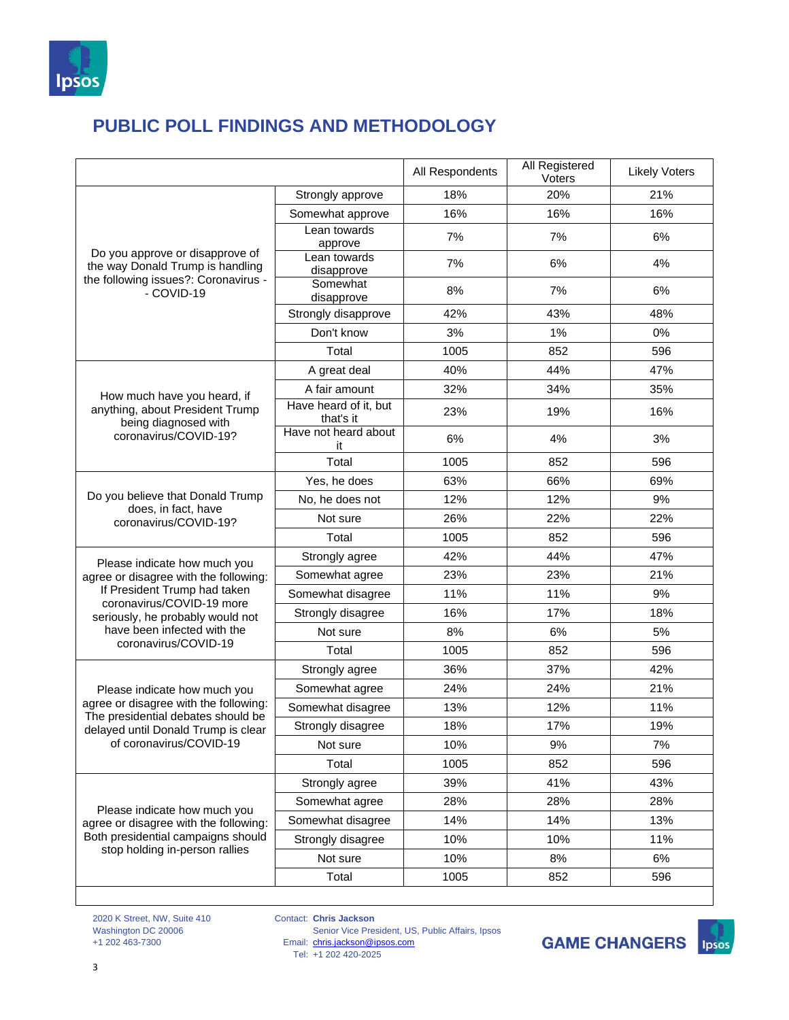

|                                                                                                                                                                               |                                    | All Respondents | All Registered<br>Voters | <b>Likely Voters</b> |
|-------------------------------------------------------------------------------------------------------------------------------------------------------------------------------|------------------------------------|-----------------|--------------------------|----------------------|
| Do you approve or disapprove of<br>the way Donald Trump is handling<br>the following issues?: Coronavirus -<br>- COVID-19                                                     | Strongly approve                   | 18%             | 20%                      | 21%                  |
|                                                                                                                                                                               | Somewhat approve                   | 16%             | 16%                      | 16%                  |
|                                                                                                                                                                               | Lean towards<br>approve            | 7%              | 7%                       | 6%                   |
|                                                                                                                                                                               | Lean towards<br>disapprove         | 7%              | 6%                       | 4%                   |
|                                                                                                                                                                               | Somewhat<br>disapprove             | 8%              | 7%                       | 6%                   |
|                                                                                                                                                                               | Strongly disapprove                | 42%             | 43%                      | 48%                  |
|                                                                                                                                                                               | Don't know                         | 3%              | 1%                       | 0%                   |
|                                                                                                                                                                               | Total                              | 1005            | 852                      | 596                  |
| How much have you heard, if<br>anything, about President Trump<br>being diagnosed with                                                                                        | A great deal                       | 40%             | 44%                      | 47%                  |
|                                                                                                                                                                               | A fair amount                      | 32%             | 34%                      | 35%                  |
|                                                                                                                                                                               | Have heard of it, but<br>that's it | 23%             | 19%                      | 16%                  |
| coronavirus/COVID-19?                                                                                                                                                         | Have not heard about<br>it         | 6%              | 4%                       | 3%                   |
|                                                                                                                                                                               | Total                              | 1005            | 852                      | 596                  |
|                                                                                                                                                                               | Yes, he does                       | 63%             | 66%                      | 69%                  |
| Do you believe that Donald Trump<br>does, in fact, have                                                                                                                       | No, he does not                    | 12%             | 12%                      | 9%                   |
| coronavirus/COVID-19?                                                                                                                                                         | Not sure                           | 26%             | 22%                      | 22%                  |
|                                                                                                                                                                               | Total                              | 1005            | 852                      | 596                  |
| Please indicate how much you                                                                                                                                                  | Strongly agree                     | 42%             | 44%                      | 47%                  |
| agree or disagree with the following:                                                                                                                                         | Somewhat agree                     | 23%             | 23%                      | 21%                  |
| If President Trump had taken<br>coronavirus/COVID-19 more                                                                                                                     | Somewhat disagree                  | 11%             | 11%                      | 9%                   |
| seriously, he probably would not                                                                                                                                              | Strongly disagree                  | 16%             | 17%                      | 18%                  |
| have been infected with the<br>coronavirus/COVID-19                                                                                                                           | Not sure                           | 8%              | 6%                       | 5%                   |
|                                                                                                                                                                               | Total                              | 1005            | 852                      | 596                  |
| Please indicate how much you<br>agree or disagree with the following:<br>The presidential debates should be<br>delayed until Donald Trump is clear<br>of coronavirus/COVID-19 | Strongly agree                     | 36%             | 37%                      | 42%                  |
|                                                                                                                                                                               | Somewhat agree                     | 24%             | 24%                      | 21%                  |
|                                                                                                                                                                               | Somewhat disagree                  | 13%             | 12%                      | 11%                  |
|                                                                                                                                                                               | Strongly disagree                  | 18%             | 17%                      | 19%                  |
|                                                                                                                                                                               | Not sure                           | 10%             | 9%                       | 7%                   |
|                                                                                                                                                                               | Total                              | 1005            | 852                      | 596                  |
|                                                                                                                                                                               | Strongly agree                     | 39%             | 41%                      | 43%                  |
| Please indicate how much you<br>agree or disagree with the following:<br>Both presidential campaigns should<br>stop holding in-person rallies                                 | Somewhat agree                     | 28%             | 28%                      | 28%                  |
|                                                                                                                                                                               | Somewhat disagree                  | 14%             | 14%                      | 13%                  |
|                                                                                                                                                                               | Strongly disagree                  | 10%             | 10%                      | 11%                  |
|                                                                                                                                                                               | Not sure                           | 10%             | 8%                       | 6%                   |
|                                                                                                                                                                               | Total                              | 1005            | 852                      | 596                  |

2020 K Street, NW, Suite 410 Washington DC 20006 +1 202 463-7300

Contact: **Chris Jackson** Email: Tel: Senior Vice President, US, Public Affairs, Ipsos [chris.jackson@ipsos.com](mailto:chris.jackson@ipsos.com) +1 202 420-2025

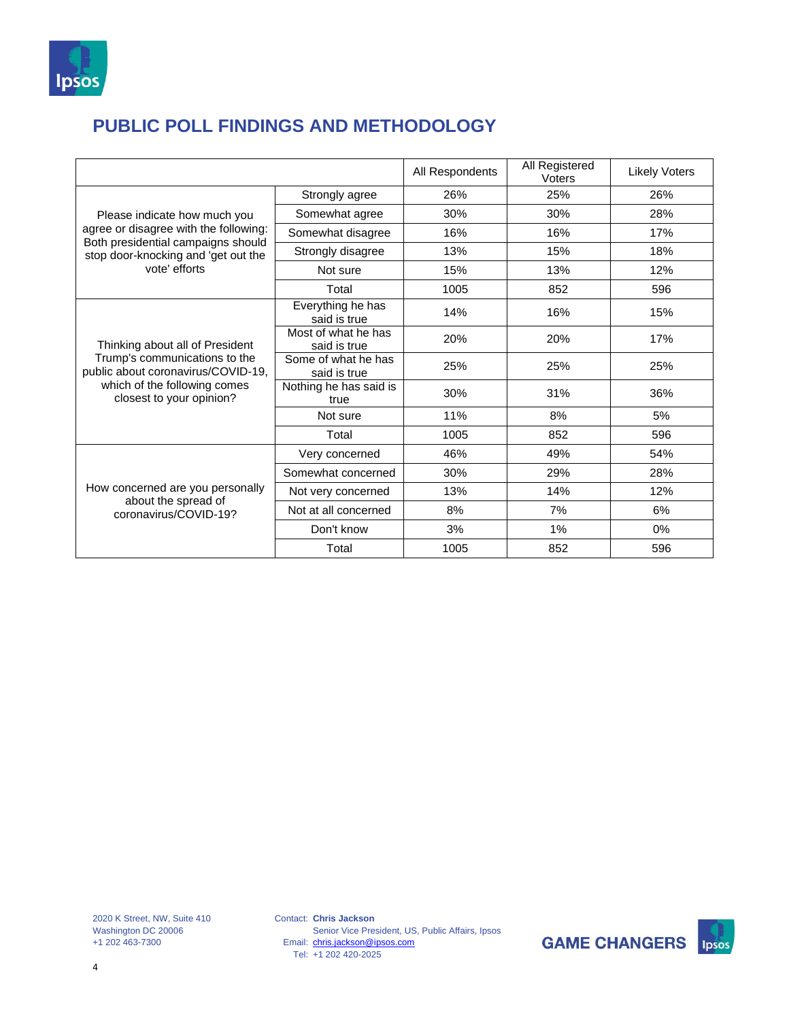

|                                                                                                                                                                     |                                     | All Respondents | All Registered<br>Voters | <b>Likely Voters</b> |
|---------------------------------------------------------------------------------------------------------------------------------------------------------------------|-------------------------------------|-----------------|--------------------------|----------------------|
| Please indicate how much you<br>agree or disagree with the following:<br>Both presidential campaigns should<br>stop door-knocking and 'get out the<br>vote' efforts | Strongly agree                      | 26%             | 25%                      | 26%                  |
|                                                                                                                                                                     | Somewhat agree                      | 30%             | 30%                      | 28%                  |
|                                                                                                                                                                     | Somewhat disagree                   | 16%             | 16%                      | 17%                  |
|                                                                                                                                                                     | Strongly disagree                   | 13%             | 15%                      | 18%                  |
|                                                                                                                                                                     | Not sure                            | 15%             | 13%                      | 12%                  |
|                                                                                                                                                                     | Total                               | 1005            | 852                      | 596                  |
| Thinking about all of President<br>Trump's communications to the<br>public about coronavirus/COVID-19,<br>which of the following comes<br>closest to your opinion?  | Everything he has<br>said is true   | 14%             | 16%                      | 15%                  |
|                                                                                                                                                                     | Most of what he has<br>said is true | 20%             | 20%                      | 17%                  |
|                                                                                                                                                                     | Some of what he has<br>said is true | 25%             | 25%                      | 25%                  |
|                                                                                                                                                                     | Nothing he has said is<br>true      | 30%             | 31%                      | 36%                  |
|                                                                                                                                                                     | Not sure                            | 11%             | 8%                       | 5%                   |
|                                                                                                                                                                     | Total                               | 1005            | 852                      | 596                  |
| How concerned are you personally<br>about the spread of<br>coronavirus/COVID-19?                                                                                    | Very concerned                      | 46%             | 49%                      | 54%                  |
|                                                                                                                                                                     | Somewhat concerned                  | 30%             | 29%                      | 28%                  |
|                                                                                                                                                                     | Not very concerned                  | 13%             | 14%                      | 12%                  |
|                                                                                                                                                                     | Not at all concerned                | 8%              | 7%                       | 6%                   |
|                                                                                                                                                                     | Don't know                          | 3%              | 1%                       | $0\%$                |
|                                                                                                                                                                     | Total                               | 1005            | 852                      | 596                  |

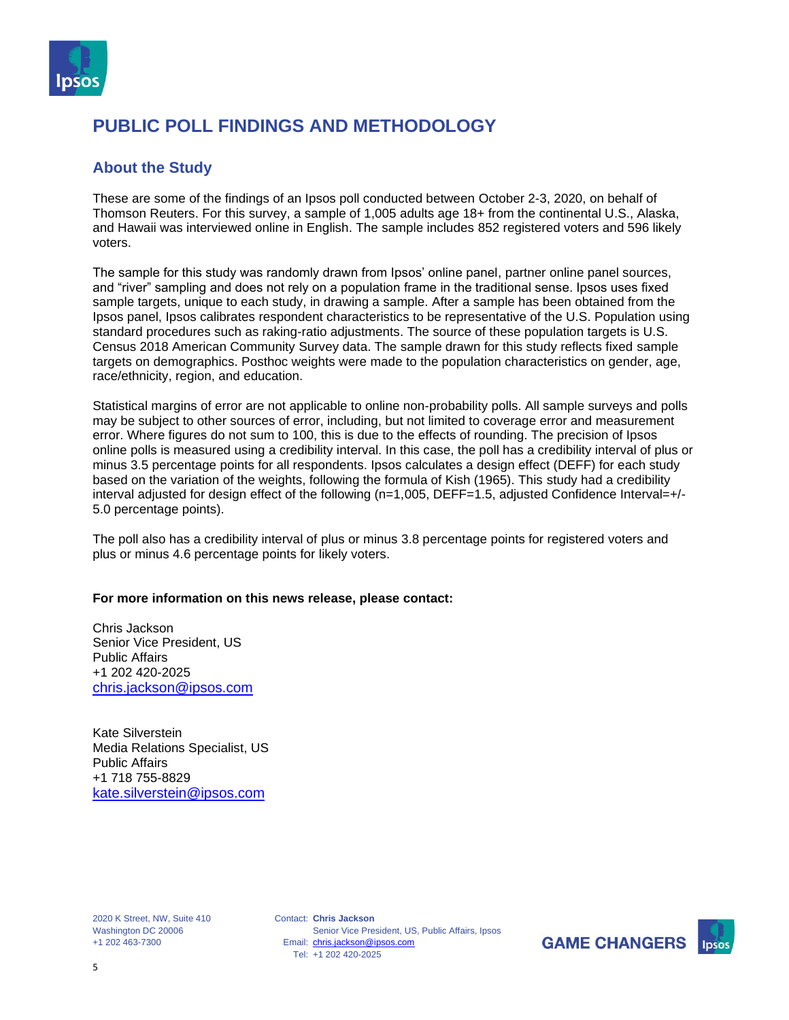

#### **About the Study**

These are some of the findings of an Ipsos poll conducted between October 2-3, 2020, on behalf of Thomson Reuters. For this survey, a sample of 1,005 adults age 18+ from the continental U.S., Alaska, and Hawaii was interviewed online in English. The sample includes 852 registered voters and 596 likely voters.

The sample for this study was randomly drawn from Ipsos' online panel, partner online panel sources, and "river" sampling and does not rely on a population frame in the traditional sense. Ipsos uses fixed sample targets, unique to each study, in drawing a sample. After a sample has been obtained from the Ipsos panel, Ipsos calibrates respondent characteristics to be representative of the U.S. Population using standard procedures such as raking-ratio adjustments. The source of these population targets is U.S. Census 2018 American Community Survey data. The sample drawn for this study reflects fixed sample targets on demographics. Posthoc weights were made to the population characteristics on gender, age, race/ethnicity, region, and education.

Statistical margins of error are not applicable to online non-probability polls. All sample surveys and polls may be subject to other sources of error, including, but not limited to coverage error and measurement error. Where figures do not sum to 100, this is due to the effects of rounding. The precision of Ipsos online polls is measured using a credibility interval. In this case, the poll has a credibility interval of plus or minus 3.5 percentage points for all respondents. Ipsos calculates a design effect (DEFF) for each study based on the variation of the weights, following the formula of Kish (1965). This study had a credibility interval adjusted for design effect of the following (n=1,005, DEFF=1.5, adjusted Confidence Interval=+/- 5.0 percentage points).

The poll also has a credibility interval of plus or minus 3.8 percentage points for registered voters and plus or minus 4.6 percentage points for likely voters.

#### **For more information on this news release, please contact:**

Chris Jackson Senior Vice President, US Public Affairs +1 202 420-2025 [chris.jackson@ipsos.com](mailto:chris.jackson@ipsos.com)

Kate Silverstein Media Relations Specialist, US Public Affairs +1 718 755-8829 [kate.silverstein@ipsos.com](mailto:kate.silverstein@ipsos.com)

2020 K Street, NW, Suite 410 Washington DC 20006 +1 202 463-7300

Contact: **Chris Jackson** Email: [chris.jackson@ipsos.com](mailto:chris.jackson@ipsos.com) Tel: +1 202 420-2025 Senior Vice President, US, Public Affairs, Ipsos